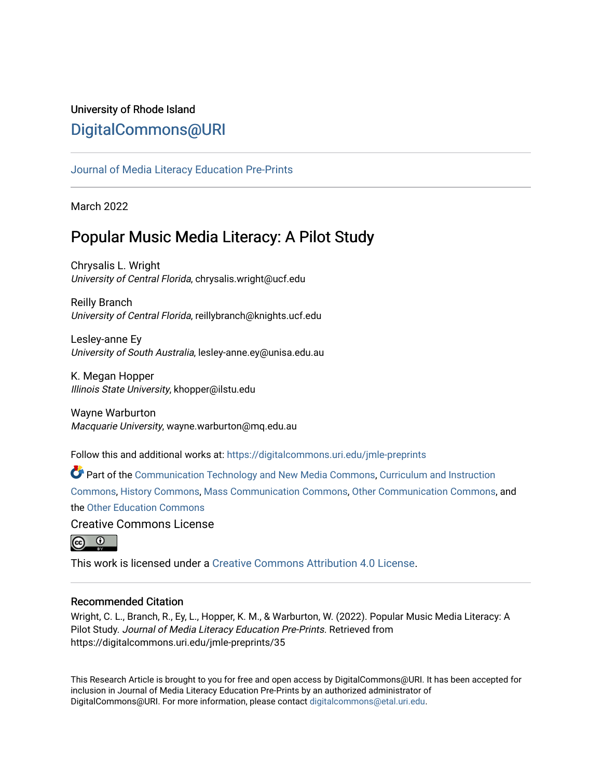# University of Rhode Island [DigitalCommons@URI](https://digitalcommons.uri.edu/)

# [Journal of Media Literacy Education Pre-Prints](https://digitalcommons.uri.edu/jmle-preprints)

March 2022

# Popular Music Media Literacy: A Pilot Study

Chrysalis L. Wright University of Central Florida, chrysalis.wright@ucf.edu

Reilly Branch University of Central Florida, reillybranch@knights.ucf.edu

Lesley-anne Ey University of South Australia, lesley-anne.ey@unisa.edu.au

K. Megan Hopper Illinois State University, khopper@ilstu.edu

Wayne Warburton Macquarie University, wayne.warburton@mq.edu.au

Follow this and additional works at: [https://digitalcommons.uri.edu/jmle-preprints](https://digitalcommons.uri.edu/jmle-preprints?utm_source=digitalcommons.uri.edu%2Fjmle-preprints%2F35&utm_medium=PDF&utm_campaign=PDFCoverPages) 

Part of the [Communication Technology and New Media Commons,](http://network.bepress.com/hgg/discipline/327?utm_source=digitalcommons.uri.edu%2Fjmle-preprints%2F35&utm_medium=PDF&utm_campaign=PDFCoverPages) [Curriculum and Instruction](http://network.bepress.com/hgg/discipline/786?utm_source=digitalcommons.uri.edu%2Fjmle-preprints%2F35&utm_medium=PDF&utm_campaign=PDFCoverPages) [Commons](http://network.bepress.com/hgg/discipline/786?utm_source=digitalcommons.uri.edu%2Fjmle-preprints%2F35&utm_medium=PDF&utm_campaign=PDFCoverPages), [History Commons,](http://network.bepress.com/hgg/discipline/489?utm_source=digitalcommons.uri.edu%2Fjmle-preprints%2F35&utm_medium=PDF&utm_campaign=PDFCoverPages) [Mass Communication Commons,](http://network.bepress.com/hgg/discipline/334?utm_source=digitalcommons.uri.edu%2Fjmle-preprints%2F35&utm_medium=PDF&utm_campaign=PDFCoverPages) [Other Communication Commons](http://network.bepress.com/hgg/discipline/339?utm_source=digitalcommons.uri.edu%2Fjmle-preprints%2F35&utm_medium=PDF&utm_campaign=PDFCoverPages), and the [Other Education Commons](http://network.bepress.com/hgg/discipline/811?utm_source=digitalcommons.uri.edu%2Fjmle-preprints%2F35&utm_medium=PDF&utm_campaign=PDFCoverPages)

Creative Commons License



This work is licensed under a [Creative Commons Attribution 4.0 License](https://creativecommons.org/licenses/by/4.0/).

## Recommended Citation

Wright, C. L., Branch, R., Ey, L., Hopper, K. M., & Warburton, W. (2022). Popular Music Media Literacy: A Pilot Study. Journal of Media Literacy Education Pre-Prints. Retrieved from https://digitalcommons.uri.edu/jmle-preprints/35

This Research Article is brought to you for free and open access by DigitalCommons@URI. It has been accepted for inclusion in Journal of Media Literacy Education Pre-Prints by an authorized administrator of DigitalCommons@URI. For more information, please contact [digitalcommons@etal.uri.edu.](mailto:digitalcommons@etal.uri.edu)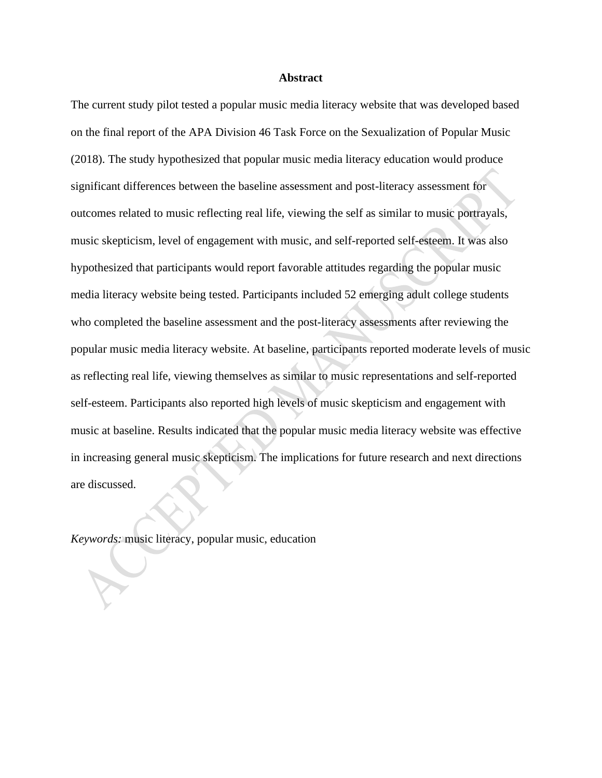#### **Abstract**

The current study pilot tested a popular music media literacy website that was developed based on the final report of the APA Division 46 Task Force on the Sexualization of Popular Music (2018). The study hypothesized that popular music media literacy education would produce significant differences between the baseline assessment and post-literacy assessment for outcomes related to music reflecting real life, viewing the self as similar to music portrayals, music skepticism, level of engagement with music, and self-reported self-esteem. It was also hypothesized that participants would report favorable attitudes regarding the popular music media literacy website being tested. Participants included 52 emerging adult college students who completed the baseline assessment and the post-literacy assessments after reviewing the popular music media literacy website. At baseline, participants reported moderate levels of music as reflecting real life, viewing themselves as similar to music representations and self-reported self-esteem. Participants also reported high levels of music skepticism and engagement with music at baseline. Results indicated that the popular music media literacy website was effective in increasing general music skepticism. The implications for future research and next directions are discussed.

*Keywords:* music literacy, popular music, education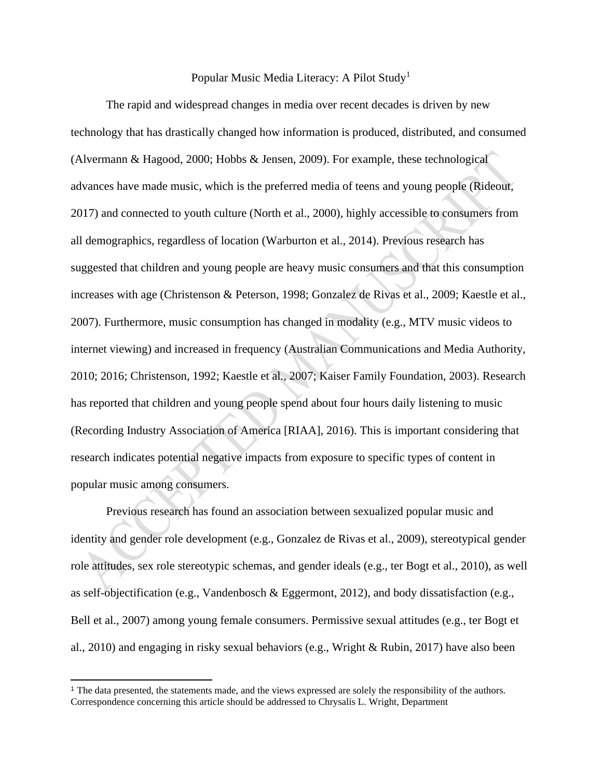## Popular Music Media Literacy: A Pilot Study<sup>1</sup>

The rapid and widespread changes in media over recent decades is driven by new technology that has drastically changed how information is produced, distributed, and consumed (Alvermann & Hagood, 2000; Hobbs & Jensen, 2009). For example, these technological advances have made music, which is the preferred media of teens and young people (Rideout, 2017) and connected to youth culture (North et al., 2000), highly accessible to consumers from all demographics, regardless of location (Warburton et al., 2014). Previous research has suggested that children and young people are heavy music consumers and that this consumption increases with age (Christenson & Peterson, 1998; Gonzalez de Rivas et al., 2009; Kaestle et al., 2007). Furthermore, music consumption has changed in modality (e.g., MTV music videos to internet viewing) and increased in frequency (Australian Communications and Media Authority, 2010; 2016; Christenson, 1992; Kaestle et al., 2007; Kaiser Family Foundation, 2003). Research has reported that children and young people spend about four hours daily listening to music (Recording Industry Association of America [RIAA], 2016). This is important considering that research indicates potential negative impacts from exposure to specific types of content in popular music among consumers.

Previous research has found an association between sexualized popular music and identity and gender role development (e.g., Gonzalez de Rivas et al., 2009), stereotypical gender role attitudes, sex role stereotypic schemas, and gender ideals (e.g., ter Bogt et al., 2010), as well as self-objectification (e.g., Vandenbosch & Eggermont, 2012), and body dissatisfaction (e.g., Bell et al., 2007) among young female consumers. Permissive sexual attitudes (e.g., ter Bogt et al., 2010) and engaging in risky sexual behaviors (e.g., Wright & Rubin, 2017) have also been

<sup>1</sup> The data presented, the statements made, and the views expressed are solely the responsibility of the authors. Correspondence concerning this article should be addressed to Chrysalis L. Wright, Department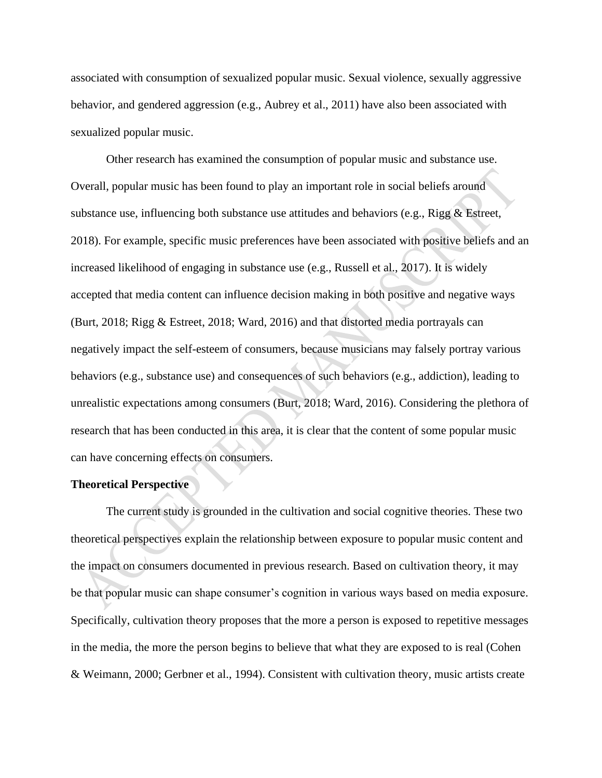associated with consumption of sexualized popular music. Sexual violence, sexually aggressive behavior, and gendered aggression (e.g., Aubrey et al., 2011) have also been associated with sexualized popular music.

Other research has examined the consumption of popular music and substance use. Overall, popular music has been found to play an important role in social beliefs around substance use, influencing both substance use attitudes and behaviors (e.g., Rigg & Estreet, 2018). For example, specific music preferences have been associated with positive beliefs and an increased likelihood of engaging in substance use (e.g., Russell et al., 2017). It is widely accepted that media content can influence decision making in both positive and negative ways (Burt, 2018; Rigg & Estreet, 2018; Ward, 2016) and that distorted media portrayals can negatively impact the self-esteem of consumers, because musicians may falsely portray various behaviors (e.g., substance use) and consequences of such behaviors (e.g., addiction), leading to unrealistic expectations among consumers (Burt, 2018; Ward, 2016). Considering the plethora of research that has been conducted in this area, it is clear that the content of some popular music can have concerning effects on consumers.

#### **Theoretical Perspective**

The current study is grounded in the cultivation and social cognitive theories. These two theoretical perspectives explain the relationship between exposure to popular music content and the impact on consumers documented in previous research. Based on cultivation theory, it may be that popular music can shape consumer's cognition in various ways based on media exposure. Specifically, cultivation theory proposes that the more a person is exposed to repetitive messages in the media, the more the person begins to believe that what they are exposed to is real (Cohen & Weimann, 2000; Gerbner et al., 1994). Consistent with cultivation theory, music artists create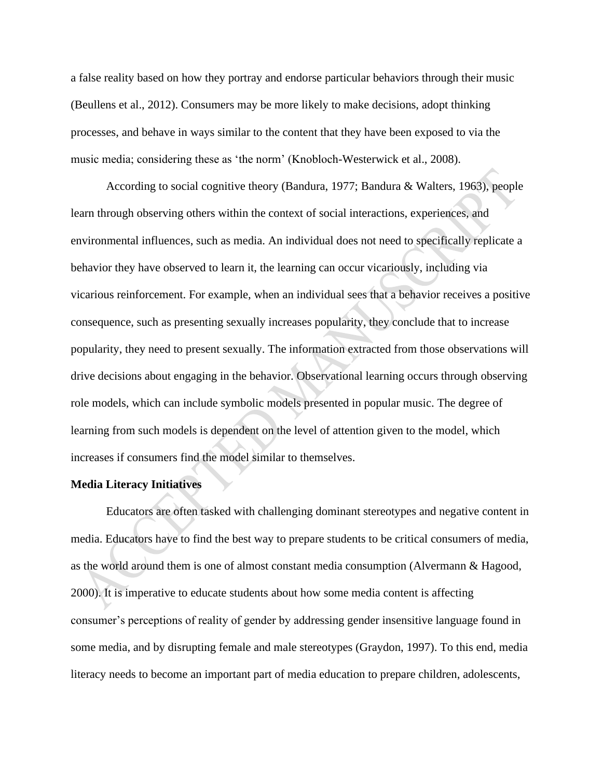a false reality based on how they portray and endorse particular behaviors through their music (Beullens et al., 2012). Consumers may be more likely to make decisions, adopt thinking processes, and behave in ways similar to the content that they have been exposed to via the music media; considering these as 'the norm' (Knobloch-Westerwick et al., 2008).

According to social cognitive theory (Bandura, 1977; Bandura & Walters, 1963), people learn through observing others within the context of social interactions, experiences, and environmental influences, such as media. An individual does not need to specifically replicate a behavior they have observed to learn it, the learning can occur vicariously, including via vicarious reinforcement. For example, when an individual sees that a behavior receives a positive consequence, such as presenting sexually increases popularity, they conclude that to increase popularity, they need to present sexually. The information extracted from those observations will drive decisions about engaging in the behavior. Observational learning occurs through observing role models, which can include symbolic models presented in popular music. The degree of learning from such models is dependent on the level of attention given to the model, which increases if consumers find the model similar to themselves.

#### **Media Literacy Initiatives**

Educators are often tasked with challenging dominant stereotypes and negative content in media. Educators have to find the best way to prepare students to be critical consumers of media, as the world around them is one of almost constant media consumption (Alvermann & Hagood, 2000). It is imperative to educate students about how some media content is affecting consumer's perceptions of reality of gender by addressing gender insensitive language found in some media, and by disrupting female and male stereotypes (Graydon, 1997). To this end, media literacy needs to become an important part of media education to prepare children, adolescents,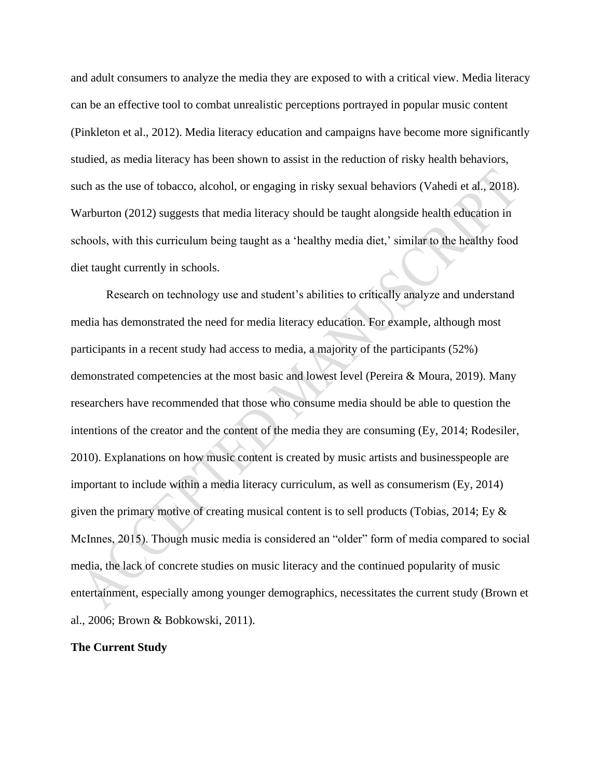and adult consumers to analyze the media they are exposed to with a critical view. Media literacy can be an effective tool to combat unrealistic perceptions portrayed in popular music content (Pinkleton et al., 2012). Media literacy education and campaigns have become more significantly studied, as media literacy has been shown to assist in the reduction of risky health behaviors, such as the use of tobacco, alcohol, or engaging in risky sexual behaviors (Vahedi et al., 2018). Warburton (2012) suggests that media literacy should be taught alongside health education in schools, with this curriculum being taught as a 'healthy media diet,' similar to the healthy food diet taught currently in schools.

Research on technology use and student's abilities to critically analyze and understand media has demonstrated the need for media literacy education. For example, although most participants in a recent study had access to media, a majority of the participants (52%) demonstrated competencies at the most basic and lowest level (Pereira & Moura, 2019). Many researchers have recommended that those who consume media should be able to question the intentions of the creator and the content of the media they are consuming (Ey, 2014; Rodesiler, 2010). Explanations on how music content is created by music artists and businesspeople are important to include within a media literacy curriculum, as well as consumerism (Ey, 2014) given the primary motive of creating musical content is to sell products (Tobias, 2014; Ey & McInnes, 2015). Though music media is considered an "older" form of media compared to social media, the lack of concrete studies on music literacy and the continued popularity of music entertainment, especially among younger demographics, necessitates the current study (Brown et al., 2006; Brown & Bobkowski, 2011).

## **The Current Study**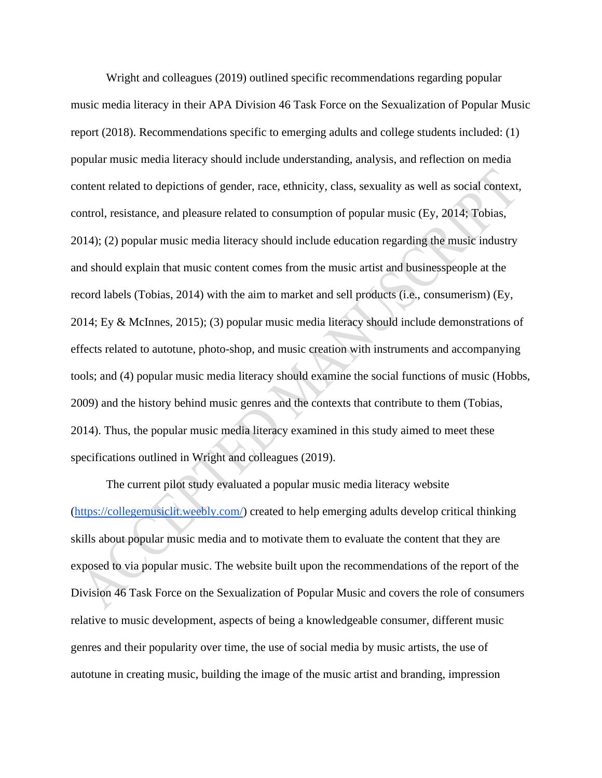Wright and colleagues (2019) outlined specific recommendations regarding popular music media literacy in their APA Division 46 Task Force on the Sexualization of Popular Music report (2018). Recommendations specific to emerging adults and college students included: (1) popular music media literacy should include understanding, analysis, and reflection on media content related to depictions of gender, race, ethnicity, class, sexuality as well as social context, control, resistance, and pleasure related to consumption of popular music (Ey, 2014; Tobias, 2014); (2) popular music media literacy should include education regarding the music industry and should explain that music content comes from the music artist and businesspeople at the record labels (Tobias, 2014) with the aim to market and sell products (i.e., consumerism) (Ey, 2014; Ey & McInnes, 2015); (3) popular music media literacy should include demonstrations of effects related to autotune, photo-shop, and music creation with instruments and accompanying tools; and (4) popular music media literacy should examine the social functions of music (Hobbs, 2009) and the history behind music genres and the contexts that contribute to them (Tobias, 2014). Thus, the popular music media literacy examined in this study aimed to meet these specifications outlined in Wright and colleagues (2019).

 The current pilot study evaluated a popular music media literacy website [\(https://collegemusiclit.weebly.com/\)](https://collegemusiclit.weebly.com/) created to help emerging adults develop critical thinking skills about popular music media and to motivate them to evaluate the content that they are exposed to via popular music. The website built upon the recommendations of the report of the Division 46 Task Force on the Sexualization of Popular Music and covers the role of consumers relative to music development, aspects of being a knowledgeable consumer, different music genres and their popularity over time, the use of social media by music artists, the use of autotune in creating music, building the image of the music artist and branding, impression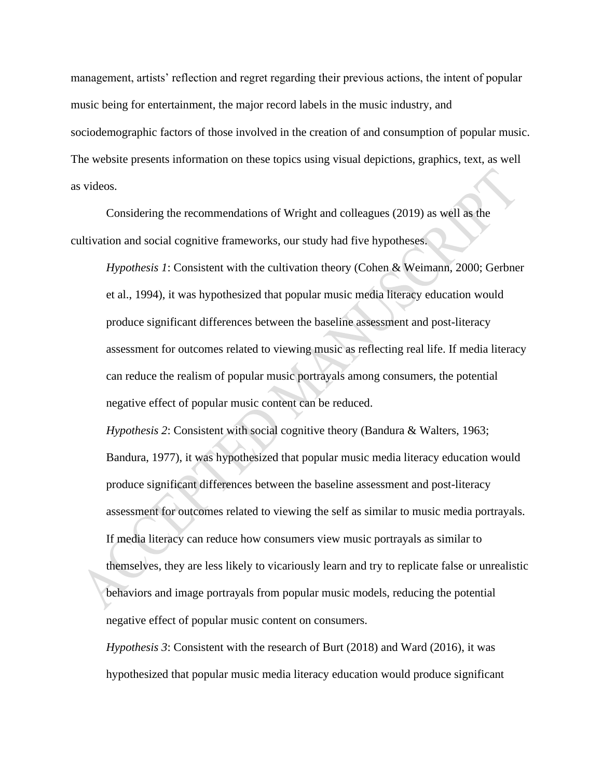management, artists' reflection and regret regarding their previous actions, the intent of popular music being for entertainment, the major record labels in the music industry, and sociodemographic factors of those involved in the creation of and consumption of popular music. The website presents information on these topics using visual depictions, graphics, text, as well as videos.

 Considering the recommendations of Wright and colleagues (2019) as well as the cultivation and social cognitive frameworks, our study had five hypotheses.

*Hypothesis 1*: Consistent with the cultivation theory (Cohen & Weimann, 2000; Gerbner et al., 1994), it was hypothesized that popular music media literacy education would produce significant differences between the baseline assessment and post-literacy assessment for outcomes related to viewing music as reflecting real life. If media literacy can reduce the realism of popular music portrayals among consumers, the potential negative effect of popular music content can be reduced.

*Hypothesis 2*: Consistent with social cognitive theory (Bandura & Walters, 1963; Bandura, 1977), it was hypothesized that popular music media literacy education would produce significant differences between the baseline assessment and post-literacy assessment for outcomes related to viewing the self as similar to music media portrayals. If media literacy can reduce how consumers view music portrayals as similar to themselves, they are less likely to vicariously learn and try to replicate false or unrealistic behaviors and image portrayals from popular music models, reducing the potential negative effect of popular music content on consumers.

*Hypothesis 3*: Consistent with the research of Burt (2018) and Ward (2016), it was hypothesized that popular music media literacy education would produce significant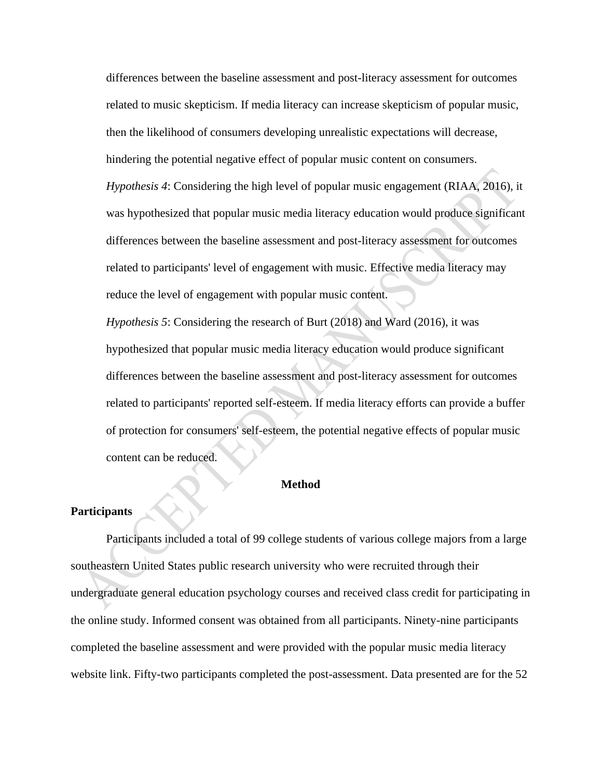differences between the baseline assessment and post-literacy assessment for outcomes related to music skepticism. If media literacy can increase skepticism of popular music, then the likelihood of consumers developing unrealistic expectations will decrease, hindering the potential negative effect of popular music content on consumers. *Hypothesis 4*: Considering the high level of popular music engagement (RIAA, 2016), it was hypothesized that popular music media literacy education would produce significant differences between the baseline assessment and post-literacy assessment for outcomes related to participants' level of engagement with music. Effective media literacy may reduce the level of engagement with popular music content.

*Hypothesis 5*: Considering the research of Burt (2018) and Ward (2016), it was hypothesized that popular music media literacy education would produce significant differences between the baseline assessment and post-literacy assessment for outcomes related to participants' reported self-esteem. If media literacy efforts can provide a buffer of protection for consumers' self-esteem, the potential negative effects of popular music content can be reduced.

#### **Method**

#### **Participants**

Participants included a total of 99 college students of various college majors from a large southeastern United States public research university who were recruited through their undergraduate general education psychology courses and received class credit for participating in the online study. Informed consent was obtained from all participants. Ninety-nine participants completed the baseline assessment and were provided with the popular music media literacy website link. Fifty-two participants completed the post-assessment. Data presented are for the 52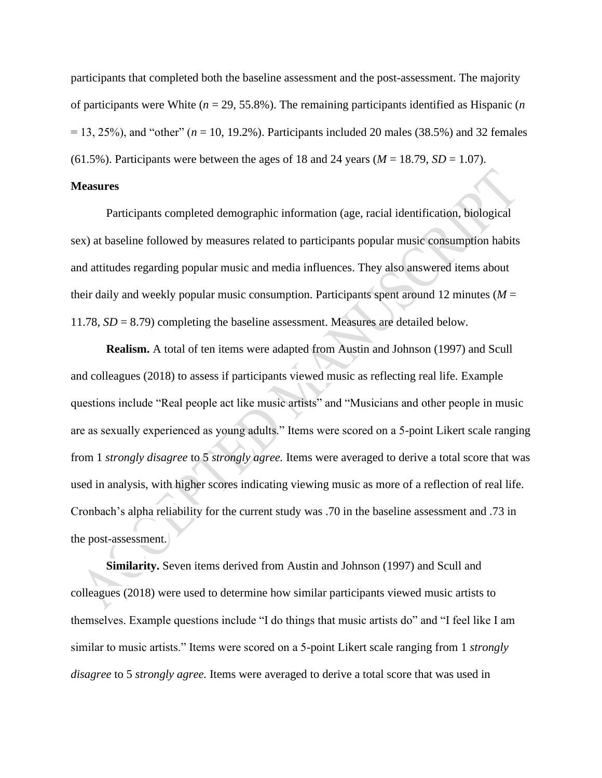participants that completed both the baseline assessment and the post-assessment. The majority of participants were White (*n* = 29, 55.8%). The remaining participants identified as Hispanic (*n*   $= 13, 25\%$ ), and "other" ( $n = 10, 19.2\%$ ). Participants included 20 males (38.5%) and 32 females (61.5%). Participants were between the ages of 18 and 24 years ( $M = 18.79$ ,  $SD = 1.07$ ).

#### **Measures**

 Participants completed demographic information (age, racial identification, biological sex) at baseline followed by measures related to participants popular music consumption habits and attitudes regarding popular music and media influences. They also answered items about their daily and weekly popular music consumption. Participants spent around 12 minutes ( $M =$ 11.78, *SD* = 8.79) completing the baseline assessment. Measures are detailed below.

**Realism.** A total of ten items were adapted from Austin and Johnson (1997) and Scull and colleagues (2018) to assess if participants viewed music as reflecting real life. Example questions include "Real people act like music artists" and "Musicians and other people in music are as sexually experienced as young adults." Items were scored on a 5-point Likert scale ranging from 1 *strongly disagree* to 5 *strongly agree.* Items were averaged to derive a total score that was used in analysis, with higher scores indicating viewing music as more of a reflection of real life. Cronbach's alpha reliability for the current study was .70 in the baseline assessment and .73 in the post-assessment.

**Similarity.** Seven items derived from Austin and Johnson (1997) and Scull and colleagues (2018) were used to determine how similar participants viewed music artists to themselves. Example questions include "I do things that music artists do" and "I feel like I am similar to music artists." Items were scored on a 5-point Likert scale ranging from 1 *strongly disagree* to 5 *strongly agree.* Items were averaged to derive a total score that was used in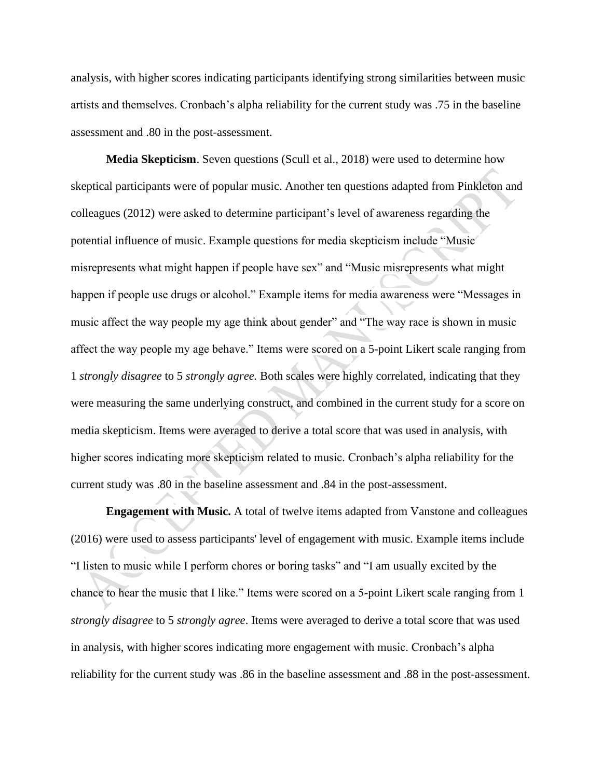analysis, with higher scores indicating participants identifying strong similarities between music artists and themselves. Cronbach's alpha reliability for the current study was .75 in the baseline assessment and .80 in the post-assessment.

**Media Skepticism**. Seven questions (Scull et al., 2018) were used to determine how skeptical participants were of popular music. Another ten questions adapted from Pinkleton and colleagues (2012) were asked to determine participant's level of awareness regarding the potential influence of music. Example questions for media skepticism include "Music misrepresents what might happen if people have sex" and "Music misrepresents what might happen if people use drugs or alcohol." Example items for media awareness were "Messages in music affect the way people my age think about gender" and "The way race is shown in music affect the way people my age behave." Items were scored on a 5-point Likert scale ranging from 1 *strongly disagree* to 5 *strongly agree.* Both scales were highly correlated, indicating that they were measuring the same underlying construct, and combined in the current study for a score on media skepticism. Items were averaged to derive a total score that was used in analysis, with higher scores indicating more skepticism related to music. Cronbach's alpha reliability for the current study was .80 in the baseline assessment and .84 in the post-assessment.

**Engagement with Music.** A total of twelve items adapted from Vanstone and colleagues (2016) were used to assess participants' level of engagement with music. Example items include "I listen to music while I perform chores or boring tasks" and "I am usually excited by the chance to hear the music that I like." Items were scored on a 5-point Likert scale ranging from 1 *strongly disagree* to 5 *strongly agree*. Items were averaged to derive a total score that was used in analysis, with higher scores indicating more engagement with music. Cronbach's alpha reliability for the current study was .86 in the baseline assessment and .88 in the post-assessment.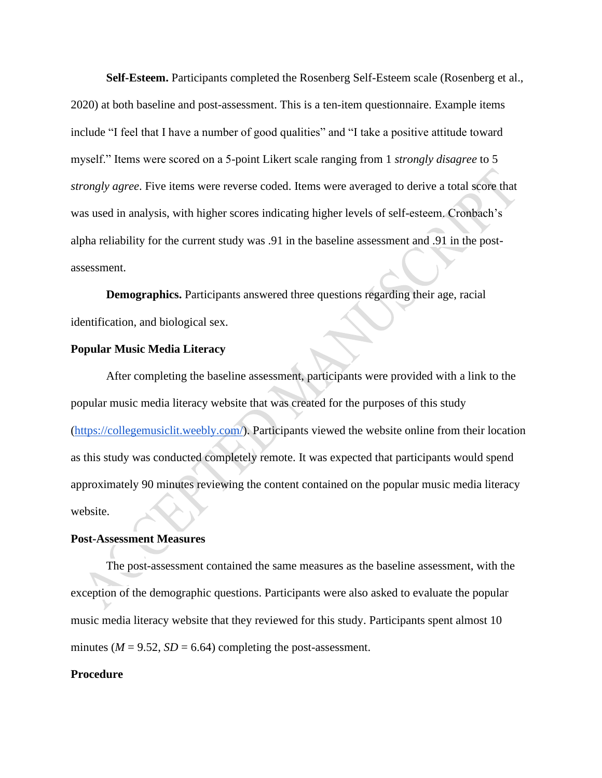**Self-Esteem.** Participants completed the Rosenberg Self-Esteem scale (Rosenberg et al., 2020) at both baseline and post-assessment. This is a ten-item questionnaire. Example items include "I feel that I have a number of good qualities" and "I take a positive attitude toward myself." Items were scored on a 5-point Likert scale ranging from 1 *strongly disagree* to 5 *strongly agree*. Five items were reverse coded. Items were averaged to derive a total score that was used in analysis, with higher scores indicating higher levels of self-esteem. Cronbach's alpha reliability for the current study was .91 in the baseline assessment and .91 in the postassessment.

 **Demographics.** Participants answered three questions regarding their age, racial identification, and biological sex.

#### **Popular Music Media Literacy**

 After completing the baseline assessment, participants were provided with a link to the popular music media literacy website that was created for the purposes of this study [\(https://collegemusiclit.weebly.com/\)](https://collegemusiclit.weebly.com/). Participants viewed the website online from their location as this study was conducted completely remote. It was expected that participants would spend approximately 90 minutes reviewing the content contained on the popular music media literacy website.

#### **Post-Assessment Measures**

The post-assessment contained the same measures as the baseline assessment, with the exception of the demographic questions. Participants were also asked to evaluate the popular music media literacy website that they reviewed for this study. Participants spent almost 10 minutes ( $M = 9.52$ ,  $SD = 6.64$ ) completing the post-assessment.

#### **Procedure**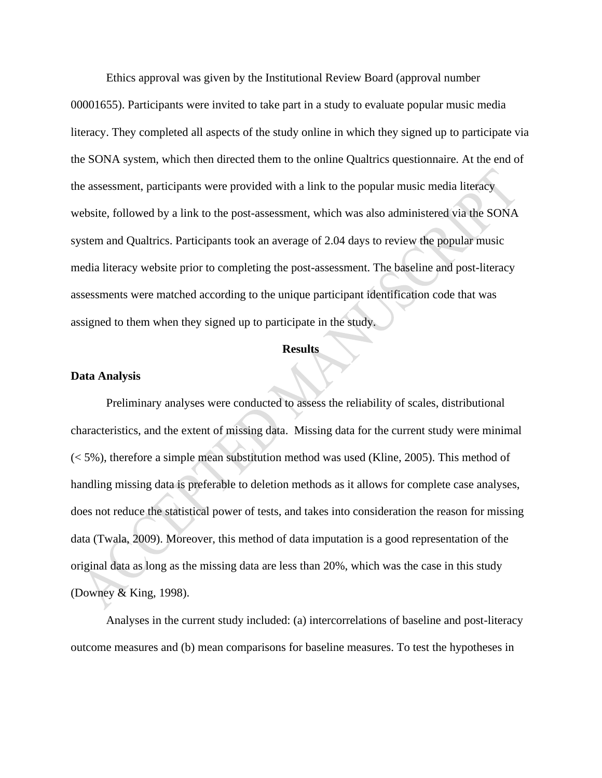Ethics approval was given by the Institutional Review Board (approval number 00001655). Participants were invited to take part in a study to evaluate popular music media literacy. They completed all aspects of the study online in which they signed up to participate via the SONA system, which then directed them to the online Qualtrics questionnaire. At the end of the assessment, participants were provided with a link to the popular music media literacy website, followed by a link to the post-assessment, which was also administered via the SONA system and Qualtrics. Participants took an average of 2.04 days to review the popular music media literacy website prior to completing the post-assessment. The baseline and post-literacy assessments were matched according to the unique participant identification code that was assigned to them when they signed up to participate in the study.

#### **Results**

#### **Data Analysis**

Preliminary analyses were conducted to assess the reliability of scales, distributional characteristics, and the extent of missing data. Missing data for the current study were minimal (< 5%), therefore a simple mean substitution method was used (Kline, 2005). This method of handling missing data is preferable to deletion methods as it allows for complete case analyses, does not reduce the statistical power of tests, and takes into consideration the reason for missing data (Twala, 2009). Moreover, this method of data imputation is a good representation of the original data as long as the missing data are less than 20%, which was the case in this study (Downey & King, 1998).

Analyses in the current study included: (a) intercorrelations of baseline and post-literacy outcome measures and (b) mean comparisons for baseline measures. To test the hypotheses in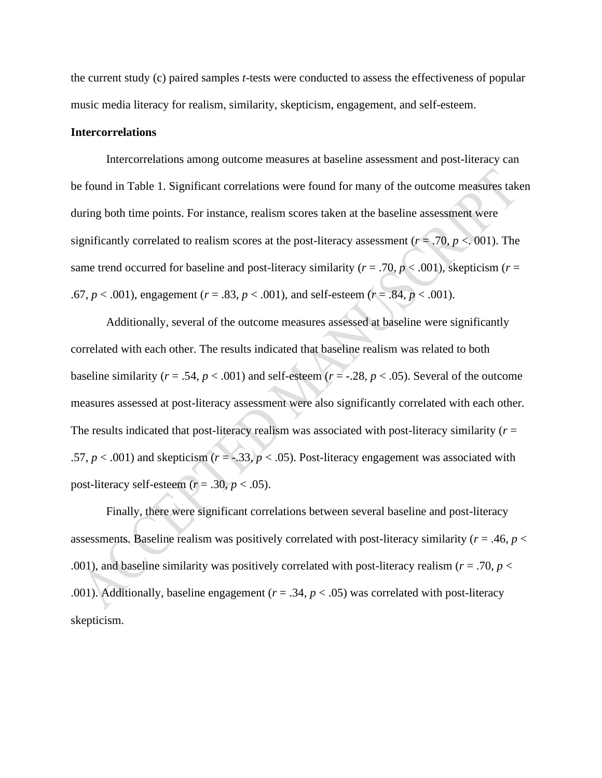the current study (c) paired samples *t*-tests were conducted to assess the effectiveness of popular music media literacy for realism, similarity, skepticism, engagement, and self-esteem.

#### **Intercorrelations**

 Intercorrelations among outcome measures at baseline assessment and post-literacy can be found in Table 1. Significant correlations were found for many of the outcome measures taken during both time points. For instance, realism scores taken at the baseline assessment were significantly correlated to realism scores at the post-literacy assessment (*r* = .70, *p* <. 001). The same trend occurred for baseline and post-literacy similarity ( $r = .70$ ,  $p < .001$ ), skepticism ( $r =$ .67,  $p < .001$ ), engagement ( $r = .83$ ,  $p < .001$ ), and self-esteem ( $r = .84$ ,  $p < .001$ ).

 Additionally, several of the outcome measures assessed at baseline were significantly correlated with each other. The results indicated that baseline realism was related to both baseline similarity ( $r = .54$ ,  $p < .001$ ) and self-esteem ( $r = .28$ ,  $p < .05$ ). Several of the outcome measures assessed at post-literacy assessment were also significantly correlated with each other. The results indicated that post-literacy realism was associated with post-literacy similarity (*r* = .57,  $p < .001$ ) and skepticism ( $r = -.33$ ,  $p < .05$ ). Post-literacy engagement was associated with post-literacy self-esteem  $(r = .30, p < .05)$ .

 Finally, there were significant correlations between several baseline and post-literacy assessments. Baseline realism was positively correlated with post-literacy similarity (*r* = .46, *p* < .001), and baseline similarity was positively correlated with post-literacy realism ( $r = .70$ ,  $p <$ .001). Additionally, baseline engagement (*r* = .34, *p* < .05) was correlated with post-literacy skepticism.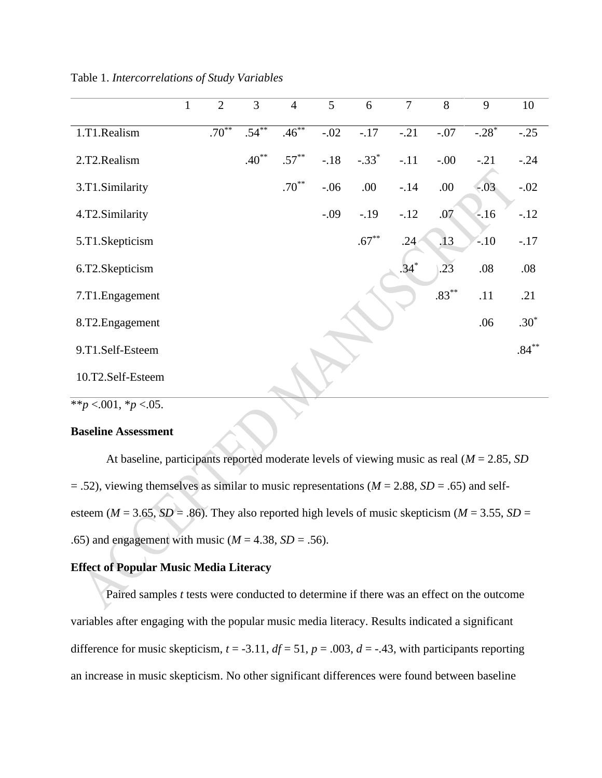|                             | $\mathbf{1}$ | $\overline{2}$ | 3        | $\overline{4}$ | $\overline{5}$ | 6        | $\overline{7}$   | 8        | 9                   | 10       |
|-----------------------------|--------------|----------------|----------|----------------|----------------|----------|------------------|----------|---------------------|----------|
| 1.T1.Realism                |              | $.70***$       | $.54***$ | $.46***$       | $-.02$         | $-17$    | $-.21$           | $-.07$   | $-.28$ <sup>*</sup> | $-.25$   |
| 2.T2.Realism                |              |                | $.40***$ | $.57***$       | $-18$          | $-.33*$  | $-.11$           | $-00.$   | $-.21$              | $-.24$   |
| 3.T1.Similarity             |              |                |          | $.70***$       | $-.06$         | .00.     | $-14$            | .00      | $-.03$              | $-.02$   |
| 4.T2.Similarity             |              |                |          |                | $-.09$         | $-.19$   | $-12$            | .07      | $-16$               | $-12$    |
| 5.T1.Skepticism             |              |                |          |                |                | $.67***$ | .24 <sub>1</sub> | .13      | $-10$               | $-.17$   |
| 6.T2.Skepticism             |              |                |          |                |                |          | $.34*$           | .23      | .08                 | .08      |
| 7.T1. Engagement            |              |                |          |                |                |          |                  | $.83***$ | .11                 | .21      |
| 8.T2.Engagement             |              |                |          |                |                |          |                  |          | .06                 | $.30*$   |
| 9.T1.Self-Esteem            |              |                |          |                |                |          |                  |          |                     | $.84***$ |
| 10.T2.Self-Esteem           |              |                |          |                |                |          |                  |          |                     |          |
| ** $p < 001$ , * $p < 05$ . |              |                |          |                |                |          |                  |          |                     |          |

#### Table 1. *Intercorrelations of Study Variables*

#### **Baseline Assessment**

 At baseline, participants reported moderate levels of viewing music as real (*M* = 2.85, *SD*  = .52), viewing themselves as similar to music representations (*M* = 2.88, *SD* = .65) and selfesteem ( $M = 3.65$ ,  $SD = .86$ ). They also reported high levels of music skepticism ( $M = 3.55$ ,  $SD =$ .65) and engagement with music ( $M = 4.38$ ,  $SD = .56$ ).

# **Effect of Popular Music Media Literacy**

Paired samples *t* tests were conducted to determine if there was an effect on the outcome variables after engaging with the popular music media literacy. Results indicated a significant difference for music skepticism,  $t = -3.11$ ,  $df = 51$ ,  $p = .003$ ,  $d = -.43$ , with participants reporting an increase in music skepticism. No other significant differences were found between baseline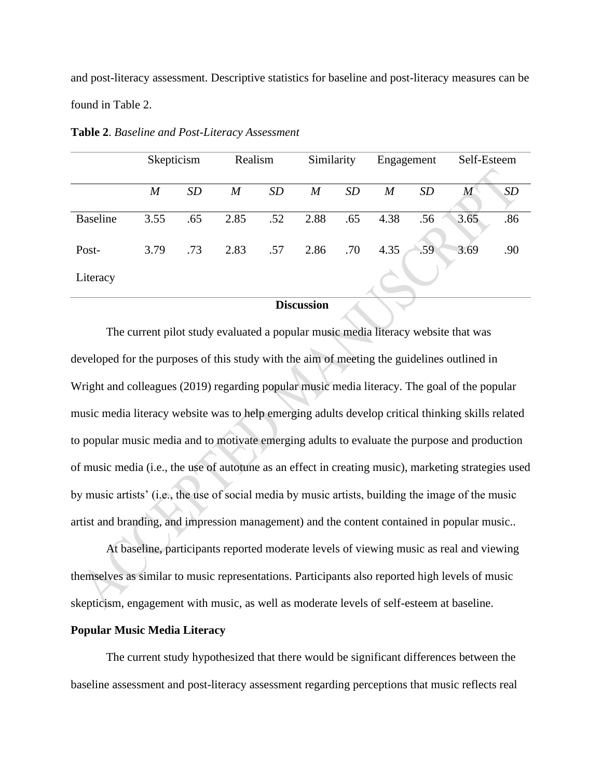and post-literacy assessment. Descriptive statistics for baseline and post-literacy measures can be found in Table 2.

|                 | Skepticism       |     | Realism          |           | Similarity       |           | Engagement     |     | Self-Esteem |     |
|-----------------|------------------|-----|------------------|-----------|------------------|-----------|----------------|-----|-------------|-----|
|                 | $\boldsymbol{M}$ | SD  | $\boldsymbol{M}$ | <i>SD</i> | $\boldsymbol{M}$ | <b>SD</b> | $\overline{M}$ | SD  | M           | SD  |
| <b>Baseline</b> | 3.55             | .65 | 2.85             | .52       | 2.88             | .65       | 4.38           | .56 | 3.65        | .86 |
| Post-           | 3.79             | .73 | 2.83             | .57       | 2.86             | .70       | 4.35           | .59 | 3.69        | .90 |
| Literacy        |                  |     |                  |           |                  |           |                |     |             |     |

**Table 2**. *Baseline and Post-Literacy Assessment*

#### **Discussion**

The current pilot study evaluated a popular music media literacy website that was developed for the purposes of this study with the aim of meeting the guidelines outlined in Wright and colleagues (2019) regarding popular music media literacy. The goal of the popular music media literacy website was to help emerging adults develop critical thinking skills related to popular music media and to motivate emerging adults to evaluate the purpose and production of music media (i.e., the use of autotune as an effect in creating music), marketing strategies used by music artists' (i.e., the use of social media by music artists, building the image of the music artist and branding, and impression management) and the content contained in popular music..

 At baseline, participants reported moderate levels of viewing music as real and viewing themselves as similar to music representations. Participants also reported high levels of music skepticism, engagement with music, as well as moderate levels of self-esteem at baseline.

#### **Popular Music Media Literacy**

The current study hypothesized that there would be significant differences between the baseline assessment and post-literacy assessment regarding perceptions that music reflects real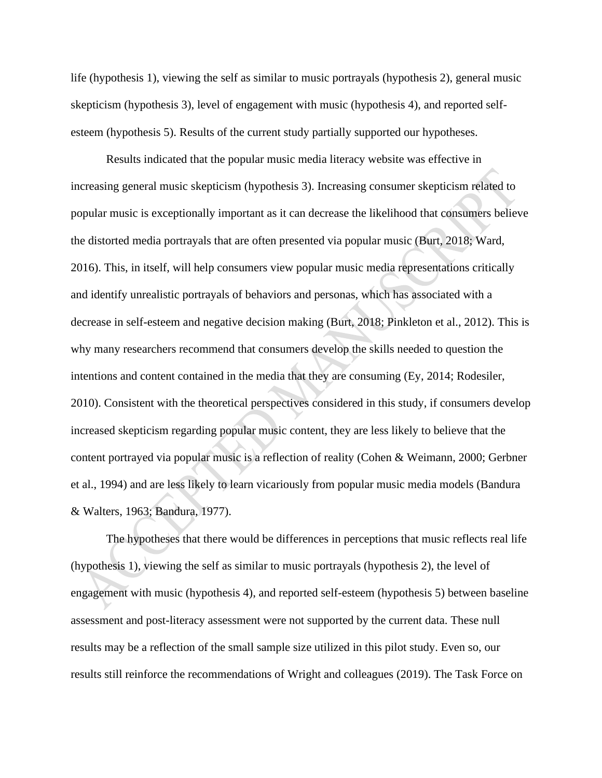life (hypothesis 1), viewing the self as similar to music portrayals (hypothesis 2), general music skepticism (hypothesis 3), level of engagement with music (hypothesis 4), and reported selfesteem (hypothesis 5). Results of the current study partially supported our hypotheses.

Results indicated that the popular music media literacy website was effective in increasing general music skepticism (hypothesis 3). Increasing consumer skepticism related to popular music is exceptionally important as it can decrease the likelihood that consumers believe the distorted media portrayals that are often presented via popular music (Burt, 2018; Ward, 2016). This, in itself, will help consumers view popular music media representations critically and identify unrealistic portrayals of behaviors and personas, which has associated with a decrease in self-esteem and negative decision making (Burt, 2018; Pinkleton et al., 2012). This is why many researchers recommend that consumers develop the skills needed to question the intentions and content contained in the media that they are consuming (Ey, 2014; Rodesiler, 2010). Consistent with the theoretical perspectives considered in this study, if consumers develop increased skepticism regarding popular music content, they are less likely to believe that the content portrayed via popular music is a reflection of reality (Cohen & Weimann, 2000; Gerbner et al., 1994) and are less likely to learn vicariously from popular music media models (Bandura & Walters, 1963; Bandura, 1977).

The hypotheses that there would be differences in perceptions that music reflects real life (hypothesis 1), viewing the self as similar to music portrayals (hypothesis 2), the level of engagement with music (hypothesis 4), and reported self-esteem (hypothesis 5) between baseline assessment and post-literacy assessment were not supported by the current data. These null results may be a reflection of the small sample size utilized in this pilot study. Even so, our results still reinforce the recommendations of Wright and colleagues (2019). The Task Force on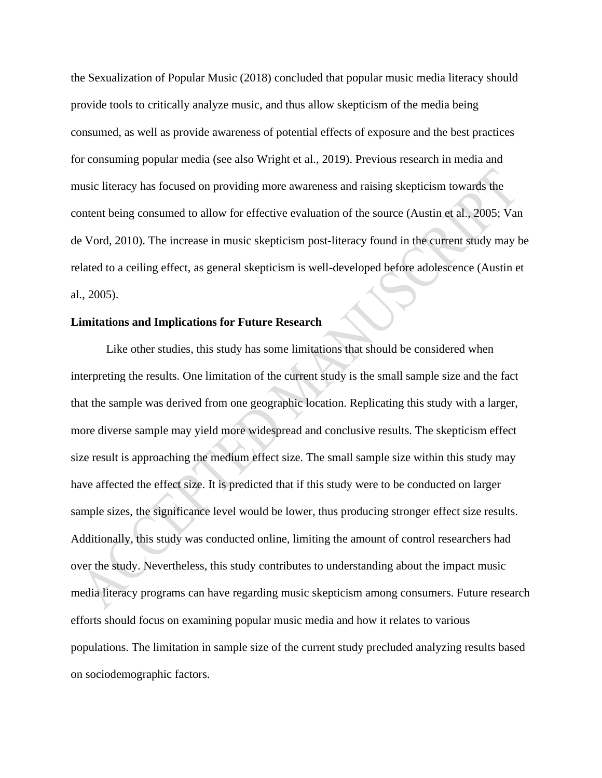the Sexualization of Popular Music (2018) concluded that popular music media literacy should provide tools to critically analyze music, and thus allow skepticism of the media being consumed, as well as provide awareness of potential effects of exposure and the best practices for consuming popular media (see also Wright et al., 2019). Previous research in media and music literacy has focused on providing more awareness and raising skepticism towards the content being consumed to allow for effective evaluation of the source (Austin et al., 2005; Van de Vord, 2010). The increase in music skepticism post-literacy found in the current study may be related to a ceiling effect, as general skepticism is well-developed before adolescence (Austin et al., 2005).

#### **Limitations and Implications for Future Research**

Like other studies, this study has some limitations that should be considered when interpreting the results. One limitation of the current study is the small sample size and the fact that the sample was derived from one geographic location. Replicating this study with a larger, more diverse sample may yield more widespread and conclusive results. The skepticism effect size result is approaching the medium effect size. The small sample size within this study may have affected the effect size. It is predicted that if this study were to be conducted on larger sample sizes, the significance level would be lower, thus producing stronger effect size results. Additionally, this study was conducted online, limiting the amount of control researchers had over the study. Nevertheless, this study contributes to understanding about the impact music media literacy programs can have regarding music skepticism among consumers. Future research efforts should focus on examining popular music media and how it relates to various populations. The limitation in sample size of the current study precluded analyzing results based on sociodemographic factors.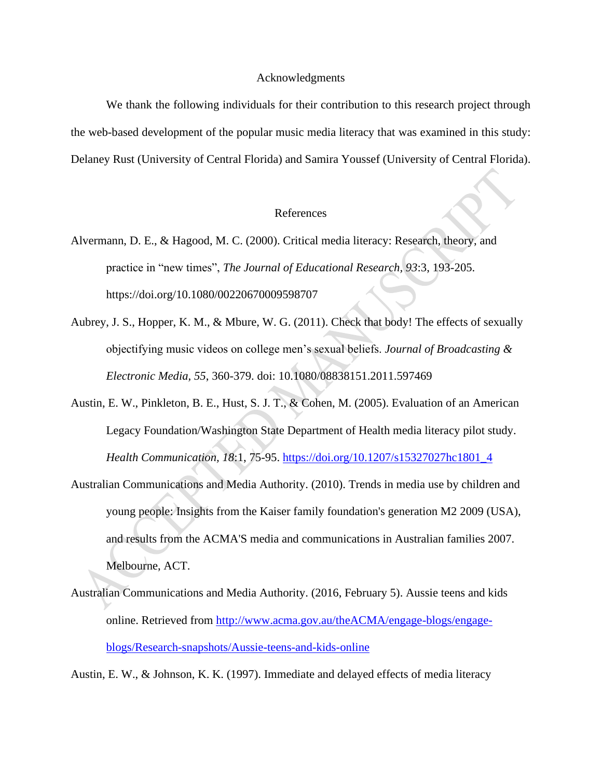#### Acknowledgments

We thank the following individuals for their contribution to this research project through the web-based development of the popular music media literacy that was examined in this study: Delaney Rust (University of Central Florida) and Samira Youssef (University of Central Florida).

#### References

- Alvermann, D. E., & Hagood, M. C. (2000). Critical media literacy: Research, theory, and practice in "new times", *The Journal of Educational Research, 93*:3, 193-205. https://doi.org/10.1080/00220670009598707
- Aubrey, J. S., Hopper, K. M., & Mbure, W. G. (2011). Check that body! The effects of sexually objectifying music videos on college men's sexual beliefs. *Journal of Broadcasting & Electronic Media, 55*, 360-379. doi: 10.1080/08838151.2011.597469
- Austin, E. W., Pinkleton, B. E., Hust, S. J. T., & Cohen, M. (2005). Evaluation of an American Legacy Foundation/Washington State Department of Health media literacy pilot study. *Health Communication, 18*:1, 75-95. [https://doi.org/10.1207/s15327027hc1801\\_4](https://doi.org/10.1207/s15327027hc1801_4)
- Australian Communications and Media Authority. (2010). Trends in media use by children and young people: Insights from the Kaiser family foundation's generation M2 2009 (USA), and results from the ACMA'S media and communications in Australian families 2007. Melbourne, ACT.
- Australian Communications and Media Authority. (2016, February 5). Aussie teens and kids online. Retrieved from [http://www.acma.gov.au/theACMA/engage-blogs/engage](http://www.acma.gov.au/theACMA/engage-blogs/engage-blogs/Research-snapshots/Aussie-teens-and-kids-online)[blogs/Research-snapshots/Aussie-teens-and-kids-online](http://www.acma.gov.au/theACMA/engage-blogs/engage-blogs/Research-snapshots/Aussie-teens-and-kids-online)

Austin, E. W., & Johnson, K. K. (1997). Immediate and delayed effects of media literacy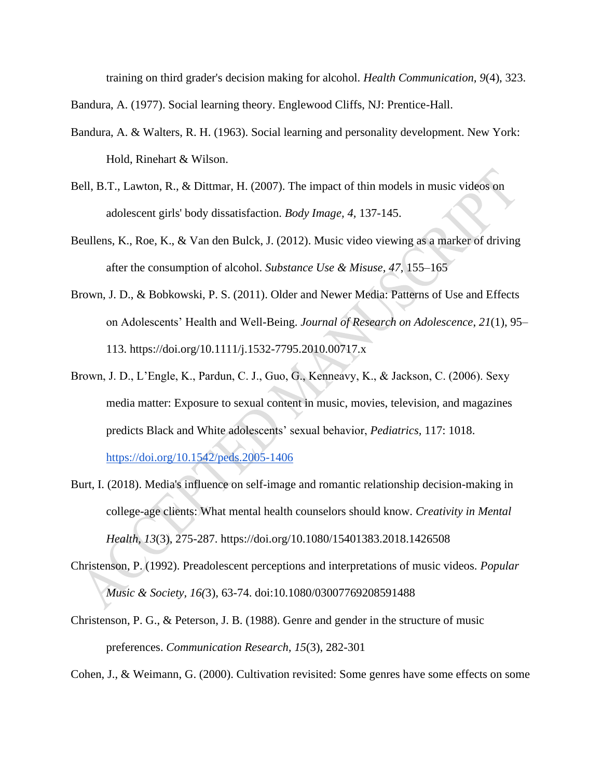training on third grader's decision making for alcohol. *Health Communication, 9*(4), 323.

Bandura, A. (1977). Social learning theory. Englewood Cliffs, NJ: Prentice-Hall.

- Bandura, A. & Walters, R. H. (1963). Social learning and personality development. New York: Hold, Rinehart & Wilson.
- Bell, B.T., Lawton, R., & Dittmar, H. (2007). The impact of thin models in music videos on adolescent girls' body dissatisfaction. *Body Image, 4,* 137-145.
- Beullens, K., Roe, K., & Van den Bulck, J. (2012). Music video viewing as a marker of driving after the consumption of alcohol. *Substance Use & Misuse, 47*, 155–165
- Brown, J. D., & Bobkowski, P. S. (2011). Older and Newer Media: Patterns of Use and Effects on Adolescents' Health and Well-Being. *Journal of Research on Adolescence*, *21*(1), 95– 113. https://doi.org/10.1111/j.1532-7795.2010.00717.x
- Brown, J. D., L'Engle, K., Pardun, C. J., Guo, G., Kenneavy, K., & Jackson, C. (2006). Sexy media matter: Exposure to sexual content in music, movies, television, and magazines predicts Black and White adolescents' sexual behavior, *Pediatrics,* 117: 1018[.](https://doi.org/10.1542/peds.2005-1406) <https://doi.org/10.1542/peds.2005-1406>
- Burt, I. (2018). Media's influence on self-image and romantic relationship decision-making in college-age clients: What mental health counselors should know. *Creativity in Mental Health, 13*(3), 275-287. https://doi.org/10.1080/15401383.2018.1426508
- Christenson, P. (1992). Preadolescent perceptions and interpretations of music videos. *Popular Music & Society, 16(*3), 63-74. doi:10.1080/03007769208591488
- Christenson, P. G., & Peterson, J. B. (1988). Genre and gender in the structure of music preferences. *Communication Research, 15*(3), 282-301

Cohen, J., & Weimann, G. (2000). Cultivation revisited: Some genres have some effects on some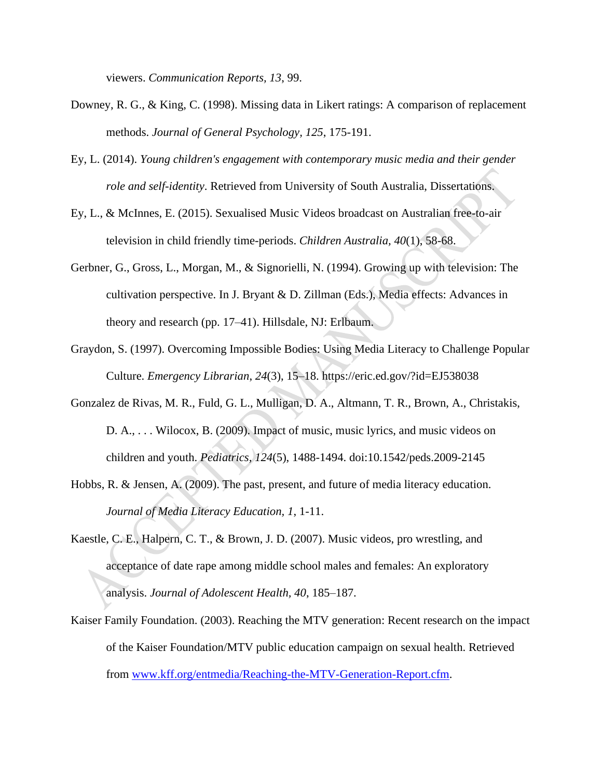viewers. *Communication Reports, 13*, 99.

- Downey, R. G., & King, C. (1998). Missing data in Likert ratings: A comparison of replacement methods. *Journal of General Psychology, 125*, 175-191.
- Ey, L. (2014). *Young children's engagement with contemporary music media and their gender role and self-identity*. Retrieved from University of South Australia, Dissertations.
- Ey, L., & McInnes, E. (2015). Sexualised Music Videos broadcast on Australian free-to-air television in child friendly time-periods. *Children Australia, 40*(1), 58-68.
- Gerbner, G., Gross, L., Morgan, M., & Signorielli, N. (1994). Growing up with television: The cultivation perspective. In J. Bryant & D. Zillman (Eds.), Media effects: Advances in theory and research (pp. 17–41). Hillsdale, NJ: Erlbaum.
- Graydon, S. (1997). Overcoming Impossible Bodies: Using Media Literacy to Challenge Popular Culture. *Emergency Librarian*, *24*(3), 15–18. https://eric.ed.gov/?id=EJ538038
- Gonzalez de Rivas, M. R., Fuld, G. L., Mulligan, D. A., Altmann, T. R., Brown, A., Christakis, D. A., . . . Wilocox, B. (2009). Impact of music, music lyrics, and music videos on children and youth. *Pediatrics, 124*(5), 1488-1494. doi:10.1542/peds.2009-2145
- Hobbs, R. & Jensen, A. (2009). The past, present, and future of media literacy education. *Journal of Media Literacy Education, 1*, 1-11.
- Kaestle, C. E., Halpern, C. T., & Brown, J. D. (2007). Music videos, pro wrestling, and acceptance of date rape among middle school males and females: An exploratory analysis. *Journal of Adolescent Health, 40*, 185–187.
- Kaiser Family Foundation. (2003). Reaching the MTV generation: Recent research on the impact of the Kaiser Foundation/MTV public education campaign on sexual health. Retrieved from [www.kff.org/entmedia/Reaching-the-MTV-Generation-Report.cfm.](http://www.kff.org/entmedia/Reaching-the-MTV-Generation-Report.cfm)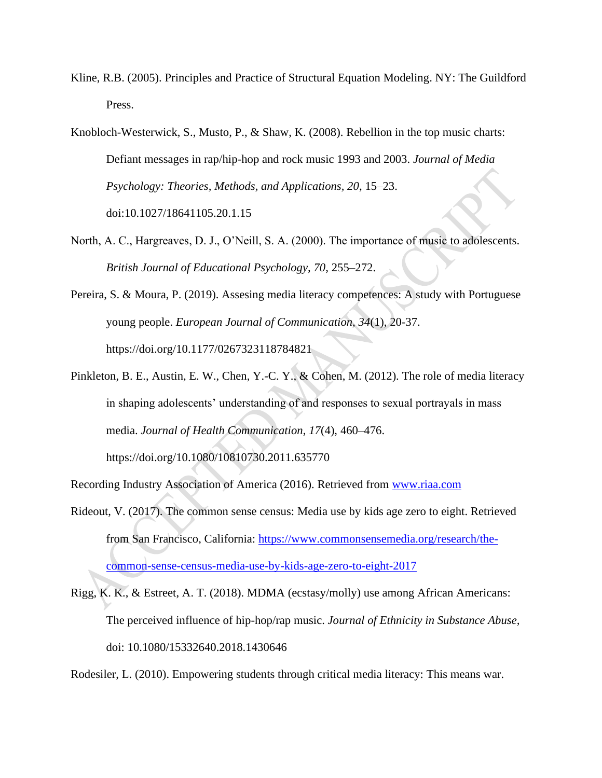- Kline, R.B. (2005). Principles and Practice of Structural Equation Modeling. NY: The Guildford Press.
- Knobloch-Westerwick, S., Musto, P., & Shaw, K. (2008). Rebellion in the top music charts: Defiant messages in rap/hip-hop and rock music 1993 and 2003. *Journal of Media Psychology: Theories, Methods, and Applications, 20*, 15–23. doi:10.1027/18641105.20.1.15
- North, A. C., Hargreaves, D. J., O'Neill, S. A. (2000). The importance of music to adolescents. *British Journal of Educational Psychology, 70,* 255–272.
- Pereira, S. & Moura, P. (2019). Assesing media literacy competences: A study with Portuguese young people. *European Journal of Communication, 34*(1), 20-37. https://doi.org/10.1177/0267323118784821
- Pinkleton, B. E., Austin, E. W., Chen, Y.-C. Y., & Cohen, M. (2012). The role of media literacy in shaping adolescents' understanding of and responses to sexual portrayals in mass media. *Journal of Health Communication*, *17*(4), 460–476[.](https://doi.org/10.1080/10810730.2011.635770) <https://doi.org/10.1080/10810730.2011.635770>

Recording Industry Association of America (2016). Retrieved from [www.riaa.com](http://www.riaa.com/)

- Rideout, V. (2017). The common sense census: Media use by kids age zero to eight. Retrieved from San Francisco, California: [https://www.commonsensemedia.org/research/the](https://www.commonsensemedia.org/research/the-common-sense-census-media-use-by-kids-age-zero-to-eight-2017)[common-sense-census-media-use-by-kids-age-zero-to-eight-2017](https://www.commonsensemedia.org/research/the-common-sense-census-media-use-by-kids-age-zero-to-eight-2017)
- Rigg, K. K., & Estreet, A. T. (2018). MDMA (ecstasy/molly) use among African Americans: The perceived influence of hip-hop/rap music. *Journal of Ethnicity in Substance Abuse,* doi: 10.1080/15332640.2018.1430646

Rodesiler, L. (2010). Empowering students through critical media literacy: This means war.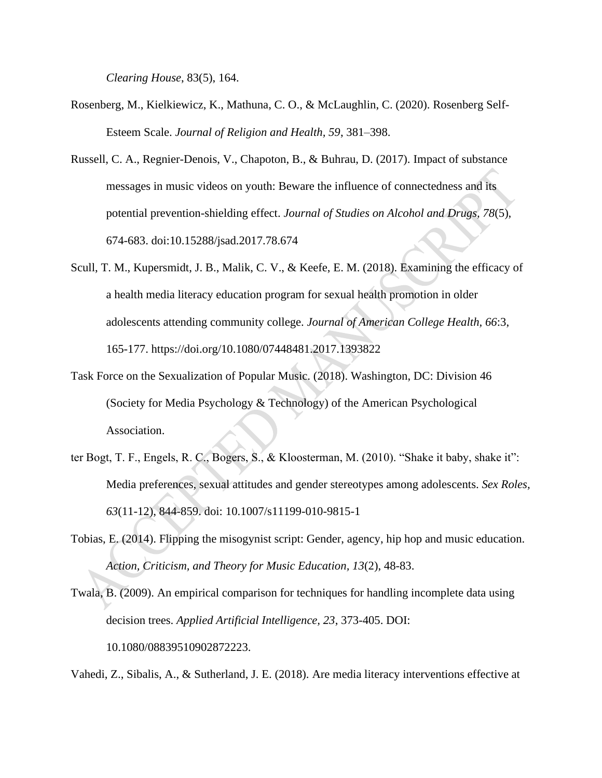*Clearing House*, 83(5), 164.

- Rosenberg, M., Kielkiewicz, K., Mathuna, C. O., & McLaughlin, C. (2020). Rosenberg Self-Esteem Scale. *Journal of Religion and Health, 59*, 381–398.
- Russell, C. A., Regnier-Denois, V., Chapoton, B., & Buhrau, D. (2017). Impact of substance messages in music videos on youth: Beware the influence of connectedness and its potential prevention-shielding effect. *Journal of Studies on Alcohol and Drugs, 78*(5), 674-683. doi:10.15288/jsad.2017.78.674
- Scull, T. M., Kupersmidt, J. B., Malik, C. V., & Keefe, E. M. (2018). Examining the efficacy of a health media literacy education program for sexual health promotion in older adolescents attending community college. *Journal of American College Health, 66*:3, 165-177. https://doi.org/10.1080/07448481.2017.1393822
- Task Force on the Sexualization of Popular Music. (2018). Washington, DC: Division 46 (Society for Media Psychology & Technology) of the American Psychological Association.
- ter Bogt, T. F., Engels, R. C., Bogers, S., & Kloosterman, M. (2010). "Shake it baby, shake it": Media preferences, sexual attitudes and gender stereotypes among adolescents. *Sex Roles, 63*(11-12), 844-859. doi: 10.1007/s11199-010-9815-1
- Tobias, E. (2014). Flipping the misogynist script: Gender, agency, hip hop and music education. *Action, Criticism, and Theory for Music Education, 13*(2), 48-83.
- Twala, B. (2009). An empirical comparison for techniques for handling incomplete data using decision trees. *Applied Artificial Intelligence, 23*, 373-405. DOI: 10.1080/08839510902872223.

Vahedi, Z., Sibalis, A., & Sutherland, J. E. (2018). Are media literacy interventions effective at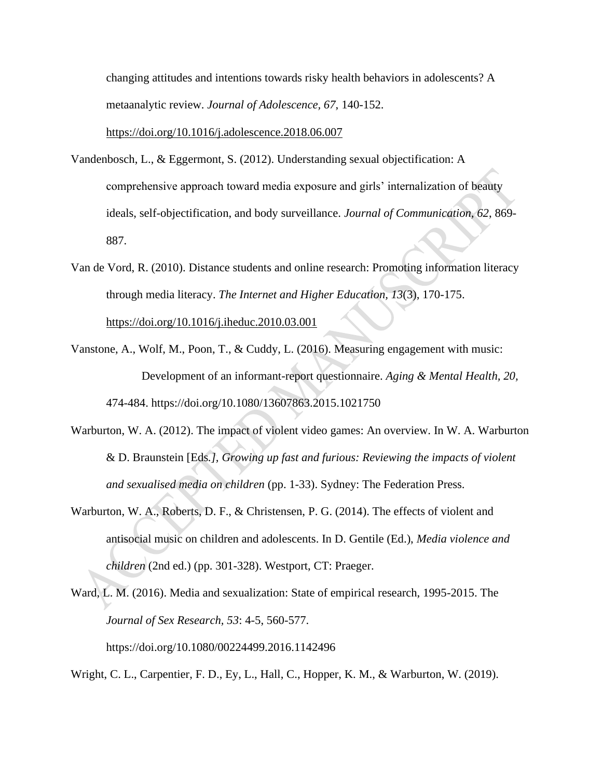changing attitudes and intentions towards risky health behaviors in adolescents? A metaanalytic review. *Journal of Adolescence, 67*, 140-152[.](https://doi.org/10.1016/j.adolescence.2018.06.007)

<https://doi.org/10.1016/j.adolescence.2018.06.007>

- Vandenbosch, L., & Eggermont, S. (2012). Understanding sexual objectification: A comprehensive approach toward media exposure and girls' internalization of beauty ideals, self-objectification, and body surveillance. *Journal of Communication, 62*, 869- 887.
- Van de Vord, R. (2010). Distance students and online research: Promoting information literacy through media literacy. *The Internet and Higher Education, 13*(3), 170-175[.](https://doi.org/10.1016/j.iheduc.2010.03.001) <https://doi.org/10.1016/j.iheduc.2010.03.001>
- Vanstone, A., Wolf, M., Poon, T., & Cuddy, L. (2016). Measuring engagement with music: Development of an informant-report questionnaire. *Aging & Mental Health, 20,*  474-484. https://doi.org/10.1080/13607863.2015.1021750
- Warburton, W. A. (2012). The impact of violent video games: An overview. In W. A. Warburton & D. Braunstein [Eds*.], Growing up fast and furious: Reviewing the impacts of violent and sexualised media on children* (pp. 1-33). Sydney: The Federation Press.
- Warburton, W. A., Roberts, D. F., & Christensen, P. G. (2014). The effects of violent and antisocial music on children and adolescents. In D. Gentile (Ed.), *Media violence and children* (2nd ed.) (pp. 301-328). Westport, CT: Praeger.
- Ward, L. M. (2016). Media and sexualization: State of empirical research, 1995-2015. The *Journal of Sex Research, 53*: 4-5, 560-577. https://doi.org/10.1080/00224499.2016.1142496

Wright, C. L., Carpentier, F. D., Ey, L., Hall, C., Hopper, K. M., & Warburton, W. (2019).